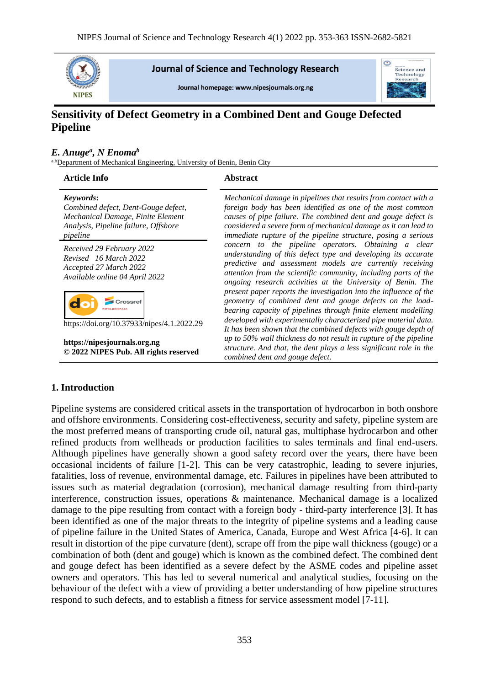

**Journal of Science and Technology Research** 

Journal homepage: www.nipesiournals.org.ng



# **Sensitivity of Defect Geometry in a Combined Dent and Gouge Defected Pipeline**

## *E. Anuge<sup>a</sup> , N Enoma<sup>b</sup>*

a,bDepartment of Mechanical Engineering, University of Benin, Benin City

#### **Article Info Abstract**

| Keywords:                            |
|--------------------------------------|
| Combined defect, Dent-Gouge defect,  |
| Mechanical Damage, Finite Element    |
| Analysis, Pipeline failure, Offshore |
| pipeline                             |
| Received 29 February 2022            |
| Revised 16 March 2022                |
| Accepted 27 March 2022               |
| Available online 04 April 2022       |

Crossret d.

https://doi.org/10.37933/nipes/4.1.2022.29

**https://nipesjournals.org.ng © 2022 NIPES Pub. All rights reserved**

*Mechanical damage in pipelines that results from contact with a foreign body has been identified as one of the most common causes of pipe failure. The combined dent and gouge defect is considered a severe form of mechanical damage as it can lead to immediate rupture of the pipeline structure, posing a serious concern to the pipeline operators. Obtaining a clear understanding of this defect type and developing its accurate predictive and assessment models are currently receiving attention from the scientific community, including parts of the ongoing research activities at the University of Benin. The present paper reports the investigation into the influence of the geometry of combined dent and gouge defects on the loadbearing capacity of pipelines through finite element modelling developed with experimentally characterized pipe material data. It has been shown that the combined defects with gouge depth of up to 50% wall thickness do not result in rupture of the pipeline structure. And that, the dent plays a less significant role in the combined dent and gouge defect.*

## **1. Introduction**

Pipeline systems are considered critical assets in the transportation of hydrocarbon in both onshore and offshore environments. Considering cost-effectiveness, security and safety, pipeline system are the most preferred means of transporting crude oil, natural gas, multiphase hydrocarbon and other refined products from wellheads or production facilities to sales terminals and final end-users. Although pipelines have generally shown a good safety record over the years, there have been occasional incidents of failure [1-2]. This can be very catastrophic, leading to severe injuries, fatalities, loss of revenue, environmental damage, etc. Failures in pipelines have been attributed to issues such as material degradation (corrosion), mechanical damage resulting from third-party interference, construction issues, operations & maintenance. Mechanical damage is a localized damage to the pipe resulting from contact with a foreign body - third-party interference [3]. It has been identified as one of the major threats to the integrity of pipeline systems and a leading cause of pipeline failure in the United States of America, Canada, Europe and West Africa [4-6]. It can result in distortion of the pipe curvature (dent), scrape off from the pipe wall thickness (gouge) or a combination of both (dent and gouge) which is known as the combined defect. The combined dent and gouge defect has been identified as a severe defect by the ASME codes and pipeline asset owners and operators. This has led to several numerical and analytical studies, focusing on the behaviour of the defect with a view of providing a better understanding of how pipeline structures respond to such defects, and to establish a fitness for service assessment model [7-11].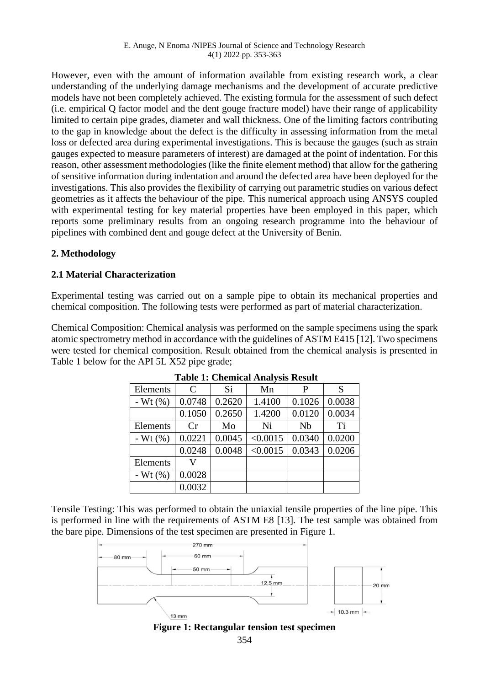However, even with the amount of information available from existing research work, a clear understanding of the underlying damage mechanisms and the development of accurate predictive models have not been completely achieved. The existing formula for the assessment of such defect (i.e. empirical Q factor model and the dent gouge fracture model) have their range of applicability limited to certain pipe grades, diameter and wall thickness. One of the limiting factors contributing to the gap in knowledge about the defect is the difficulty in assessing information from the metal loss or defected area during experimental investigations. This is because the gauges (such as strain gauges expected to measure parameters of interest) are damaged at the point of indentation. For this reason, other assessment methodologies (like the finite element method) that allow for the gathering of sensitive information during indentation and around the defected area have been deployed for the investigations. This also provides the flexibility of carrying out parametric studies on various defect geometries as it affects the behaviour of the pipe. This numerical approach using ANSYS coupled with experimental testing for key material properties have been employed in this paper, which reports some preliminary results from an ongoing research programme into the behaviour of pipelines with combined dent and gouge defect at the University of Benin.

# **2. Methodology**

# **2.1 Material Characterization**

Experimental testing was carried out on a sample pipe to obtain its mechanical properties and chemical composition. The following tests were performed as part of material characterization.

Chemical Composition: Chemical analysis was performed on the sample specimens using the spark atomic spectrometry method in accordance with the guidelines of ASTM E415 [12]. Two specimens were tested for chemical composition. Result obtained from the chemical analysis is presented in Table 1 below for the API 5L X52 pipe grade;

| Elements     | $\mathcal{C}$ | Si     | Mn       | P      | S      |
|--------------|---------------|--------|----------|--------|--------|
| - Wt $(%)$   | 0.0748        | 0.2620 | 1.4100   | 0.1026 | 0.0038 |
|              | 0.1050        | 0.2650 | 1.4200   | 0.0120 | 0.0034 |
| Elements     | Cr            | Mo     | Ni       | Nb     | Ti     |
| - Wt $(\% )$ | 0.0221        | 0.0045 | < 0.0015 | 0.0340 | 0.0200 |
|              | 0.0248        | 0.0048 | < 0.0015 | 0.0343 | 0.0206 |
| Elements     |               |        |          |        |        |
| - Wt $(%)$   | 0.0028        |        |          |        |        |
|              | 0.0032        |        |          |        |        |

**Table 1: Chemical Analysis Result**

Tensile Testing: This was performed to obtain the uniaxial tensile properties of the line pipe. This is performed in line with the requirements of ASTM E8 [13]. The test sample was obtained from the bare pipe. Dimensions of the test specimen are presented in Figure 1.



**Figure 1: Rectangular tension test specimen**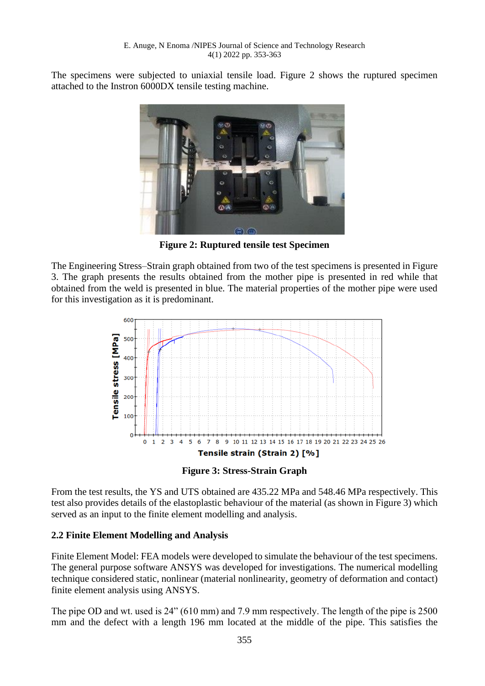The specimens were subjected to uniaxial tensile load. Figure 2 shows the ruptured specimen attached to the Instron 6000DX tensile testing machine.



**Figure 2: Ruptured tensile test Specimen**

The Engineering Stress–Strain graph obtained from two of the test specimens is presented in Figure 3. The graph presents the results obtained from the mother pipe is presented in red while that obtained from the weld is presented in blue. The material properties of the mother pipe were used for this investigation as it is predominant.



**Figure 3: Stress-Strain Graph**

From the test results, the YS and UTS obtained are 435.22 MPa and 548.46 MPa respectively. This test also provides details of the elastoplastic behaviour of the material (as shown in Figure 3) which served as an input to the finite element modelling and analysis.

## **2.2 Finite Element Modelling and Analysis**

Finite Element Model: FEA models were developed to simulate the behaviour of the test specimens. The general purpose software ANSYS was developed for investigations. The numerical modelling technique considered static, nonlinear (material nonlinearity, geometry of deformation and contact) finite element analysis using ANSYS.

The pipe OD and wt. used is 24" (610 mm) and 7.9 mm respectively. The length of the pipe is 2500 mm and the defect with a length 196 mm located at the middle of the pipe. This satisfies the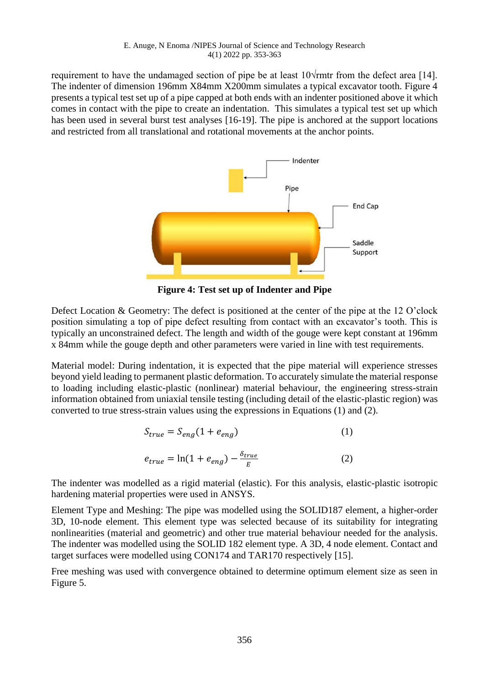requirement to have the undamaged section of pipe be at least  $10\sqrt{\text{r}}$ mtr from the defect area [14]. The indenter of dimension 196mm X84mm X200mm simulates a typical excavator tooth. Figure 4 presents a typical test set up of a pipe capped at both ends with an indenter positioned above it which comes in contact with the pipe to create an indentation. This simulates a typical test set up which has been used in several burst test analyses [16-19]. The pipe is anchored at the support locations and restricted from all translational and rotational movements at the anchor points.



**Figure 4: Test set up of Indenter and Pipe**

Defect Location & Geometry: The defect is positioned at the center of the pipe at the 12 O'clock position simulating a top of pipe defect resulting from contact with an excavator's tooth. This is typically an unconstrained defect. The length and width of the gouge were kept constant at 196mm x 84mm while the gouge depth and other parameters were varied in line with test requirements.

Material model: During indentation, it is expected that the pipe material will experience stresses beyond yield leading to permanent plastic deformation. To accurately simulate the material response to loading including elastic-plastic (nonlinear) material behaviour, the engineering stress-strain information obtained from uniaxial tensile testing (including detail of the elastic-plastic region) was converted to true stress-strain values using the expressions in Equations (1) and (2).

$$
S_{true} = S_{eng}(1 + e_{eng})
$$
\n
$$
e_{true} = \ln(1 + e_{eng}) - \frac{\delta_{true}}{E}
$$
\n(1)

The indenter was modelled as a rigid material (elastic). For this analysis, elastic-plastic isotropic hardening material properties were used in ANSYS.

Element Type and Meshing: The pipe was modelled using the SOLID187 element, a higher-order 3D, 10-node element. This element type was selected because of its suitability for integrating nonlinearities (material and geometric) and other true material behaviour needed for the analysis. The indenter was modelled using the SOLID 182 element type. A 3D, 4 node element. Contact and target surfaces were modelled using CON174 and TAR170 respectively [15].

Free meshing was used with convergence obtained to determine optimum element size as seen in Figure 5.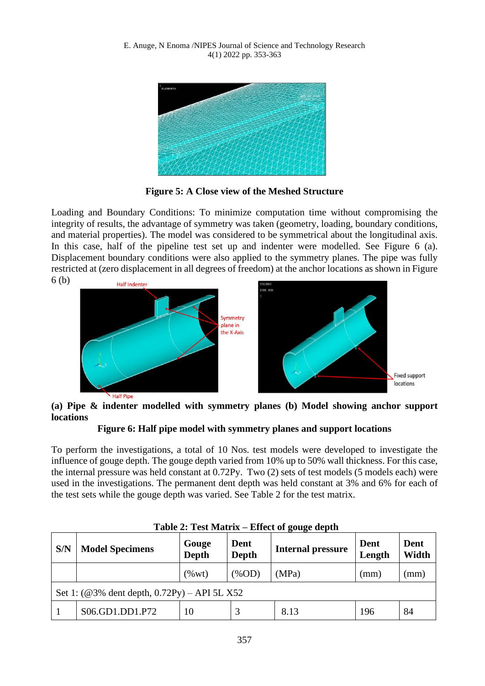

**Figure 5: A Close view of the Meshed Structure**

Loading and Boundary Conditions: To minimize computation time without compromising the integrity of results, the advantage of symmetry was taken (geometry, loading, boundary conditions, and material properties). The model was considered to be symmetrical about the longitudinal axis. In this case, half of the pipeline test set up and indenter were modelled. See Figure 6 (a). Displacement boundary conditions were also applied to the symmetry planes. The pipe was fully restricted at (zero displacement in all degrees of freedom) at the anchor locations as shown in Figure



# **(a) Pipe & indenter modelled with symmetry planes (b) Model showing anchor support locations**

**Figure 6: Half pipe model with symmetry planes and support locations**

To perform the investigations, a total of 10 Nos. test models were developed to investigate the influence of gouge depth. The gouge depth varied from 10% up to 50% wall thickness. For this case, the internal pressure was held constant at 0.72Py. Two (2) sets of test models (5 models each) were used in the investigations. The permanent dent depth was held constant at 3% and 6% for each of the test sets while the gouge depth was varied. See Table 2 for the test matrix.

| S/N                                                               | <b>Model Specimens</b> | Gouge<br>Depth | Dent<br>Depth | <b>Internal pressure</b> | Dent<br>Length | Dent<br>Width |
|-------------------------------------------------------------------|------------------------|----------------|---------------|--------------------------|----------------|---------------|
|                                                                   |                        | $(\%$ wt)      | $(\%OD)$      | (MPa)                    | (mm)           | (mm)          |
| Set 1: $(\textcircled{a} 3\%$ dent depth, $0.72Py$ ) – API 5L X52 |                        |                |               |                          |                |               |
|                                                                   | S06.GD1.DD1.P72        | 10             |               | 8.13                     | 196            | 84            |

# **Table 2: Test Matrix – Effect of gouge depth**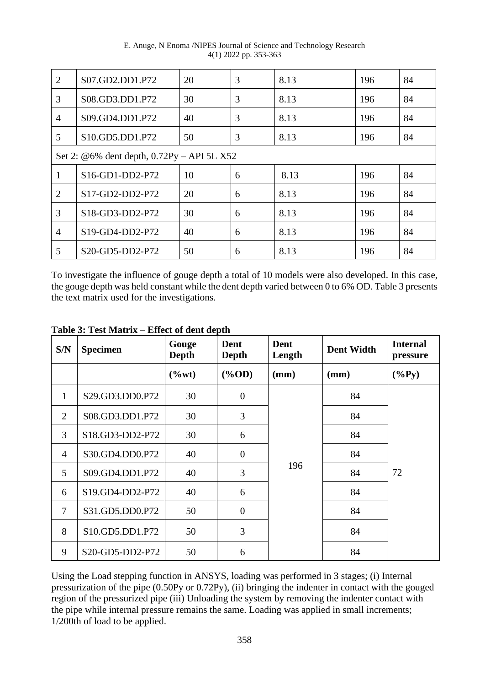E. Anuge, N Enoma /NIPES Journal of Science and Technology Research 4(1) 2022 pp. 353-363

| $\overline{2}$ | S07.GD2.DD1.P72                                                    | 20 | 3 | 8.13 | 196 | 84 |  |
|----------------|--------------------------------------------------------------------|----|---|------|-----|----|--|
| 3              | S08.GD3.DD1.P72                                                    | 30 | 3 | 8.13 | 196 | 84 |  |
| $\overline{4}$ | S09.GD4.DD1.P72                                                    | 40 | 3 | 8.13 | 196 | 84 |  |
| 5              | S10.GD5.DD1.P72                                                    | 50 | 3 | 8.13 | 196 | 84 |  |
|                | Set 2: @6% dent depth, 0.72Py - API 5L X52                         |    |   |      |     |    |  |
|                | S16-GD1-DD2-P72                                                    | 10 | 6 | 8.13 | 196 | 84 |  |
| $\overline{2}$ | S17-GD2-DD2-P72                                                    | 20 | 6 | 8.13 | 196 | 84 |  |
| 3              | S18-GD3-DD2-P72                                                    | 30 | 6 | 8.13 | 196 | 84 |  |
| $\overline{4}$ | S19-GD4-DD2-P72                                                    | 40 | 6 | 8.13 | 196 | 84 |  |
| 5              | S <sub>20</sub> -GD <sub>5</sub> -DD <sub>2</sub> -P <sub>72</sub> | 50 | 6 | 8.13 | 196 | 84 |  |

To investigate the influence of gouge depth a total of 10 models were also developed. In this case, the gouge depth was held constant while the dent depth varied between 0 to 6% OD. Table 3 presents the text matrix used for the investigations.

| S/N            | <b>Specimen</b> | Gouge<br>Depth | Dent<br>Depth  | Dent<br>Length | <b>Dent Width</b> | <b>Internal</b><br>pressure |
|----------------|-----------------|----------------|----------------|----------------|-------------------|-----------------------------|
|                |                 | $(\%wt)$       | $(\%OD)$       | (mm)           | (mm)              | $(\%Py)$                    |
| 1              | S29.GD3.DD0.P72 | 30             | $\overline{0}$ |                | 84                |                             |
| $\overline{2}$ | S08.GD3.DD1.P72 | 30             | 3              |                | 84                |                             |
| 3              | S18.GD3-DD2-P72 | 30             | 6              |                | 84                |                             |
| $\overline{4}$ | S30.GD4.DD0.P72 | 40             | $\overline{0}$ |                | 84                |                             |
| 5              | S09.GD4.DD1.P72 | 40             | 3              | 196            | 84                | 72                          |
| 6              | S19.GD4-DD2-P72 | 40             | 6              |                | 84                |                             |
| $\overline{7}$ | S31.GD5.DD0.P72 | 50             | $\overline{0}$ |                | 84                |                             |
| 8              | S10.GD5.DD1.P72 | 50             | 3              |                | 84                |                             |
| 9              | S20-GD5-DD2-P72 | 50             | 6              |                | 84                |                             |

**Table 3: Test Matrix – Effect of dent depth**

Using the Load stepping function in ANSYS, loading was performed in 3 stages; (i) Internal pressurization of the pipe (0.50Py or 0.72Py), (ii) bringing the indenter in contact with the gouged region of the pressurized pipe (iii) Unloading the system by removing the indenter contact with the pipe while internal pressure remains the same. Loading was applied in small increments; 1/200th of load to be applied.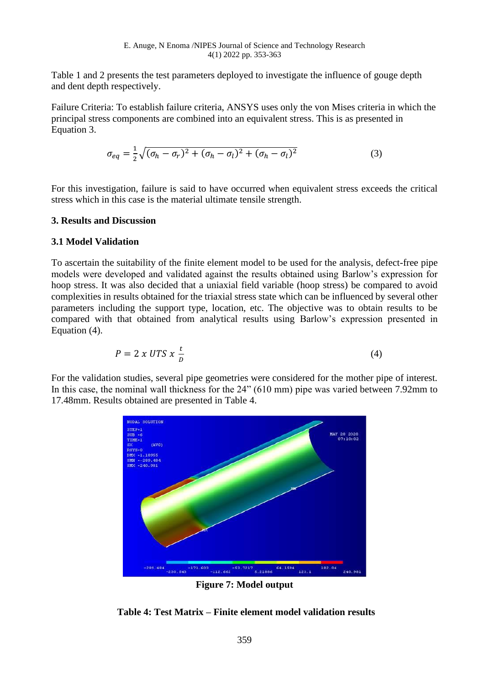Table 1 and 2 presents the test parameters deployed to investigate the influence of gouge depth and dent depth respectively.

Failure Criteria: To establish failure criteria, ANSYS uses only the von Mises criteria in which the principal stress components are combined into an equivalent stress. This is as presented in Equation 3.

$$
\sigma_{eq} = \frac{1}{2}\sqrt{(\sigma_h - \sigma_r)^2 + (\sigma_h - \sigma_l)^2 + (\sigma_h - \sigma_l)^2}
$$
\n(3)

For this investigation, failure is said to have occurred when equivalent stress exceeds the critical stress which in this case is the material ultimate tensile strength.

### **3. Results and Discussion**

### **3.1 Model Validation**

To ascertain the suitability of the finite element model to be used for the analysis, defect-free pipe models were developed and validated against the results obtained using Barlow's expression for hoop stress. It was also decided that a uniaxial field variable (hoop stress) be compared to avoid complexities in results obtained for the triaxial stress state which can be influenced by several other parameters including the support type, location, etc. The objective was to obtain results to be compared with that obtained from analytical results using Barlow's expression presented in Equation (4).

$$
P = 2 x UTS x \frac{t}{D}
$$
 (4)

For the validation studies, several pipe geometries were considered for the mother pipe of interest. In this case, the nominal wall thickness for the 24" (610 mm) pipe was varied between 7.92mm to 17.48mm. Results obtained are presented in Table 4.



**Figure 7: Model output** 

**Table 4: Test Matrix – Finite element model validation results**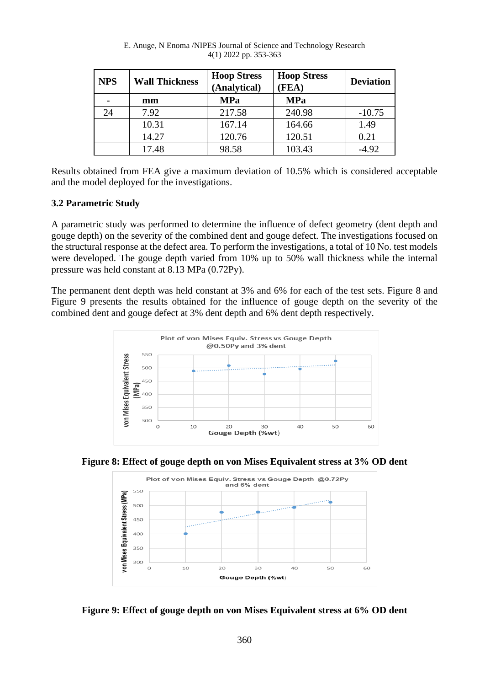| <b>NPS</b> | <b>Wall Thickness</b> | <b>Hoop Stress</b><br>(Analytical) | <b>Hoop Stress</b><br>(FEA) | <b>Deviation</b> |
|------------|-----------------------|------------------------------------|-----------------------------|------------------|
|            | mm                    | <b>MPa</b>                         | <b>MPa</b>                  |                  |
| 24         | 7.92                  | 217.58                             | 240.98                      | $-10.75$         |
|            | 10.31                 | 167.14                             | 164.66                      | 1.49             |
|            | 14.27                 | 120.76                             | 120.51                      | 0.21             |
|            | 17.48                 | 98.58                              | 103.43                      | $-4.92$          |

E. Anuge, N Enoma /NIPES Journal of Science and Technology Research 4(1) 2022 pp. 353-363

Results obtained from FEA give a maximum deviation of 10.5% which is considered acceptable and the model deployed for the investigations.

## **3.2 Parametric Study**

A parametric study was performed to determine the influence of defect geometry (dent depth and gouge depth) on the severity of the combined dent and gouge defect. The investigations focused on the structural response at the defect area. To perform the investigations, a total of 10 No. test models were developed. The gouge depth varied from 10% up to 50% wall thickness while the internal pressure was held constant at 8.13 MPa (0.72Py).

The permanent dent depth was held constant at 3% and 6% for each of the test sets. Figure 8 and Figure 9 presents the results obtained for the influence of gouge depth on the severity of the combined dent and gouge defect at 3% dent depth and 6% dent depth respectively.







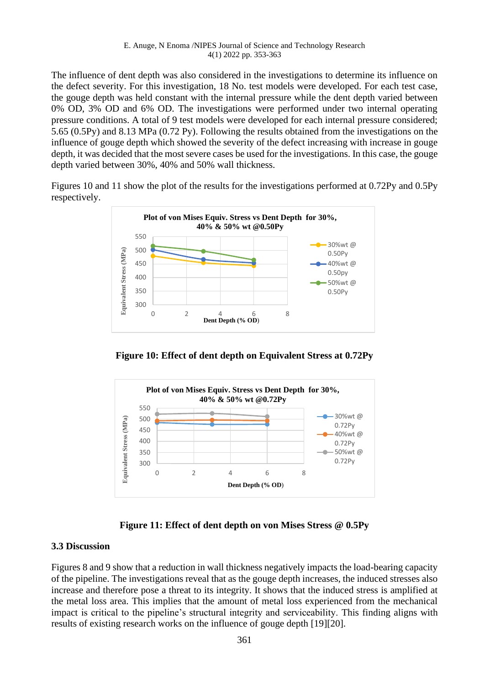The influence of dent depth was also considered in the investigations to determine its influence on the defect severity. For this investigation, 18 No. test models were developed. For each test case, the gouge depth was held constant with the internal pressure while the dent depth varied between 0% OD, 3% OD and 6% OD. The investigations were performed under two internal operating pressure conditions. A total of 9 test models were developed for each internal pressure considered; 5.65 (0.5Py) and 8.13 MPa (0.72 Py). Following the results obtained from the investigations on the influence of gouge depth which showed the severity of the defect increasing with increase in gouge depth, it was decided that the most severe cases be used for the investigations. In this case, the gouge depth varied between 30%, 40% and 50% wall thickness.

Figures 10 and 11 show the plot of the results for the investigations performed at 0.72Py and 0.5Py respectively.



**Figure 10: Effect of dent depth on Equivalent Stress at 0.72Py**



**Figure 11: Effect of dent depth on von Mises Stress @ 0.5Py**

## **3.3 Discussion**

Figures 8 and 9 show that a reduction in wall thickness negatively impacts the load-bearing capacity of the pipeline. The investigations reveal that as the gouge depth increases, the induced stresses also increase and therefore pose a threat to its integrity. It shows that the induced stress is amplified at the metal loss area. This implies that the amount of metal loss experienced from the mechanical impact is critical to the pipeline's structural integrity and serviceability. This finding aligns with results of existing research works on the influence of gouge depth [19][20].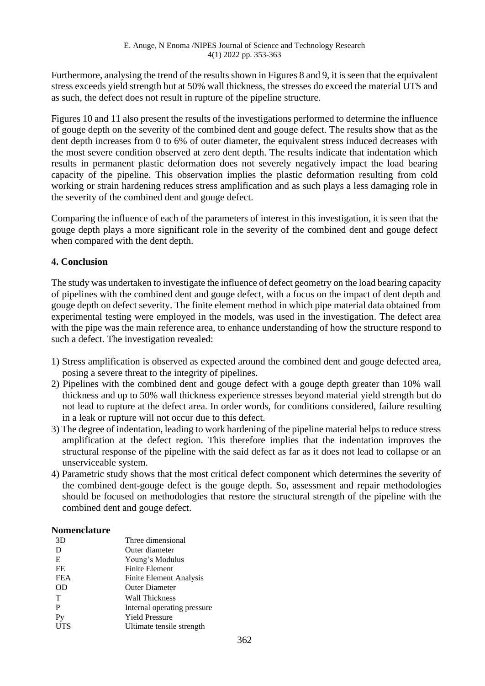Furthermore, analysing the trend of the results shown in Figures 8 and 9, it is seen that the equivalent stress exceeds yield strength but at 50% wall thickness, the stresses do exceed the material UTS and as such, the defect does not result in rupture of the pipeline structure.

Figures 10 and 11 also present the results of the investigations performed to determine the influence of gouge depth on the severity of the combined dent and gouge defect. The results show that as the dent depth increases from 0 to 6% of outer diameter, the equivalent stress induced decreases with the most severe condition observed at zero dent depth. The results indicate that indentation which results in permanent plastic deformation does not severely negatively impact the load bearing capacity of the pipeline. This observation implies the plastic deformation resulting from cold working or strain hardening reduces stress amplification and as such plays a less damaging role in the severity of the combined dent and gouge defect.

Comparing the influence of each of the parameters of interest in this investigation, it is seen that the gouge depth plays a more significant role in the severity of the combined dent and gouge defect when compared with the dent depth.

# **4. Conclusion**

The study was undertaken to investigate the influence of defect geometry on the load bearing capacity of pipelines with the combined dent and gouge defect, with a focus on the impact of dent depth and gouge depth on defect severity. The finite element method in which pipe material data obtained from experimental testing were employed in the models, was used in the investigation. The defect area with the pipe was the main reference area, to enhance understanding of how the structure respond to such a defect. The investigation revealed:

- 1) Stress amplification is observed as expected around the combined dent and gouge defected area, posing a severe threat to the integrity of pipelines.
- 2) Pipelines with the combined dent and gouge defect with a gouge depth greater than 10% wall thickness and up to 50% wall thickness experience stresses beyond material yield strength but do not lead to rupture at the defect area. In order words, for conditions considered, failure resulting in a leak or rupture will not occur due to this defect.
- 3) The degree of indentation, leading to work hardening of the pipeline material helps to reduce stress amplification at the defect region. This therefore implies that the indentation improves the structural response of the pipeline with the said defect as far as it does not lead to collapse or an unserviceable system.
- 4) Parametric study shows that the most critical defect component which determines the severity of the combined dent-gouge defect is the gouge depth. So, assessment and repair methodologies should be focused on methodologies that restore the structural strength of the pipeline with the combined dent and gouge defect.

## **Nomenclature**

|            | Three dimensional           |
|------------|-----------------------------|
| 3D         |                             |
| D          | Outer diameter              |
| E          | Young's Modulus             |
| FE         | <b>Finite Element</b>       |
| <b>FEA</b> | Finite Element Analysis     |
| OD         | <b>Outer Diameter</b>       |
| T          | Wall Thickness              |
| P          | Internal operating pressure |
| Py         | <b>Yield Pressure</b>       |
| UTS        | Ultimate tensile strength   |